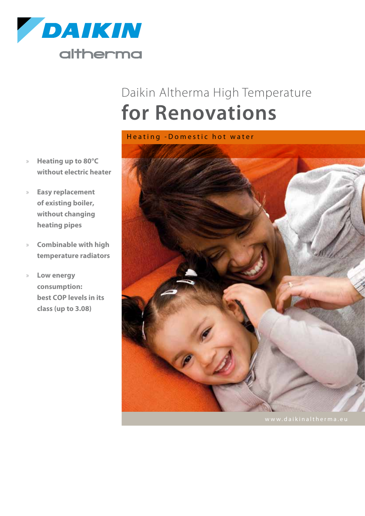

# Daikin Altherma High Temperature **for Renovations**

- » **Heating up to 80°C without electric heater**
- » **Easy replacement of existing boiler, without changing heating pipes**
- » **Combinable with high temperature radiators**
- » **Low energy consumption: best COP levels in its class (up to 3.08)**

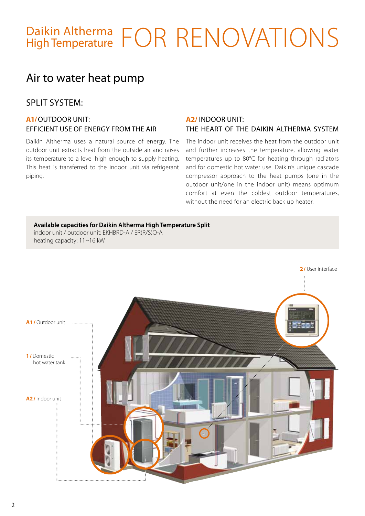# Daikin Altherma FOR RENOVATIONS

# Air to water heat pump

## SPLIT SYSTEM:

#### **a1/** Outdoor unit: efficient use of energy from the air

Daikin Altherma uses a natural source of energy. The outdoor unit extracts heat from the outside air and raises its temperature to a level high enough to supply heating. This heat is transferred to the indoor unit via refrigerant piping.

#### **A2/** Indoor unit:

#### the heart of the Daikin Altherma system

The indoor unit receives the heat from the outdoor unit and further increases the temperature, allowing water temperatures up to 80°C for heating through radiators and for domestic hot water use. Daikin's unique cascade compressor approach to the heat pumps (one in the outdoor unit/one in the indoor unit) means optimum comfort at even the coldest outdoor temperatures, without the need for an electric back up heater.

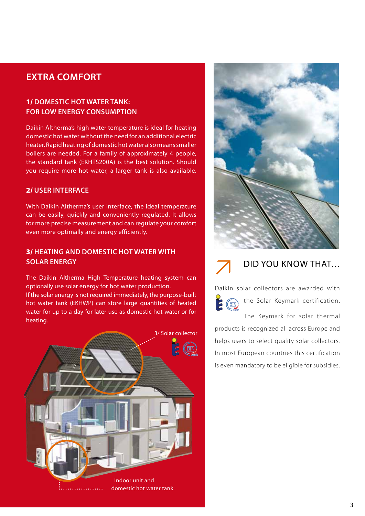# **EXTRA COMFORT**

#### 1/ **Domestic hot water tank: for low energy consumption**

Daikin Altherma's high water temperature is ideal for heating domestic hot water without the need for an additional electric heater. Rapid heating of domestic hot water also means smaller boilers are needed. For a family of approximately 4 people, the standard tank (EKHTS200A) is the best solution. Should you require more hot water, a larger tank is also available.

#### 2/ **User interface**

With Daikin Altherma's user interface, the ideal temperature can be easily, quickly and conveniently regulated. It allows for more precise measurement and can regulate your comfort even more optimally and energy efficiently.

#### 3/ **Heating and domestic hot water with solar energy**

The Daikin Altherma High Temperature heating system can optionally use solar energy for hot water production. If the solar energy is not required immediately, the purpose-built hot water tank (EKHWP) can store large quantities of heated water for up to a day for later use as domestic hot water or for heating.







### Did you know that…

Daikin solar collectors are awarded with the Solar Keymark certification.  $\sqrt{\frac{1}{2}}$ 

The Keymark for solar thermal products is recognized all across Europe and helps users to select quality solar collectors. In most European countries this certification is even mandatory to be eligible for subsidies.